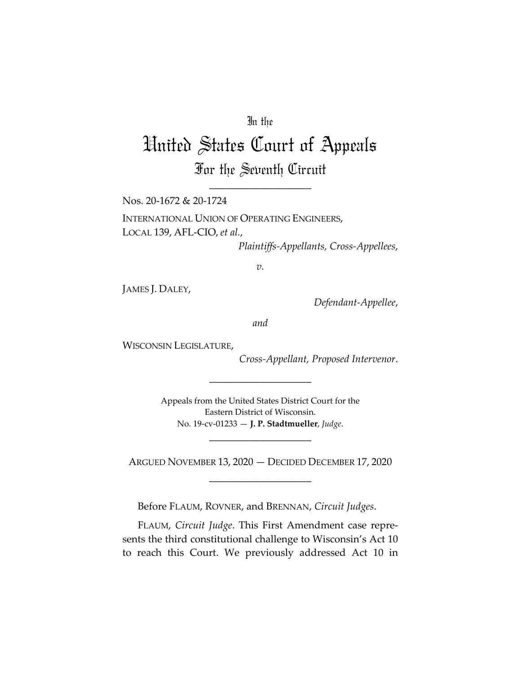## In the

# United States Court of Appeals

For the Seventh Circuit \_\_\_\_\_\_\_\_\_\_\_\_\_\_\_\_\_\_\_\_

Nos. 20-1672 & 20-1724

INTERNATIONAL UNION OF OPERATING ENGINEERS, LOCAL 139, AFL-CIO, *et al.*,

*Plaintiffs-Appellants, Cross-Appellees*,

*v.*

JAMES J. DALEY,

*Defendant-Appellee*,

*and*

WISCONSIN LEGISLATURE,

*Cross-Appellant, Proposed Intervenor*.

Appeals from the United States District Court for the Eastern District of Wisconsin. No. 19-cv-01233 — **J. P. Stadtmueller**, *Judge*.

\_\_\_\_\_\_\_\_\_\_\_\_\_\_\_\_\_\_\_\_

ARGUED NOVEMBER 13, 2020 — DECIDED DECEMBER 17, 2020 \_\_\_\_\_\_\_\_\_\_\_\_\_\_\_\_\_\_\_\_

\_\_\_\_\_\_\_\_\_\_\_\_\_\_\_\_\_\_\_\_

Before FLAUM, ROVNER, and BRENNAN, *Circuit Judges*.

FLAUM, *Circuit Judge*. This First Amendment case represents the third constitutional challenge to Wisconsin's Act 10 to reach this Court. We previously addressed Act 10 in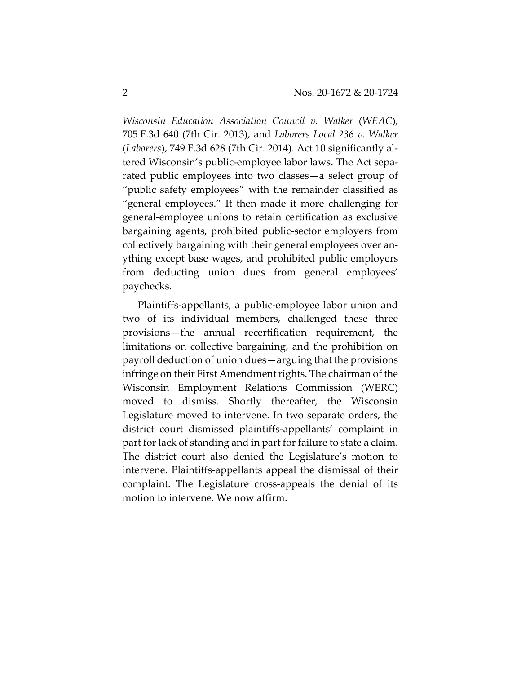*Wisconsin Education Association Council v. Walker* (*WEAC*), 705 F.3d 640 (7th Cir. 2013), and *Laborers Local 236 v. Walker* (*Laborers*), 749 F.3d 628 (7th Cir. 2014). Act 10 significantly altered Wisconsin's public-employee labor laws. The Act separated public employees into two classes—a select group of "public safety employees" with the remainder classified as "general employees." It then made it more challenging for general-employee unions to retain certification as exclusive bargaining agents, prohibited public-sector employers from collectively bargaining with their general employees over anything except base wages, and prohibited public employers from deducting union dues from general employees' paychecks.

Plaintiffs-appellants, a public-employee labor union and two of its individual members, challenged these three provisions—the annual recertification requirement, the limitations on collective bargaining, and the prohibition on payroll deduction of union dues—arguing that the provisions infringe on their First Amendment rights. The chairman of the Wisconsin Employment Relations Commission (WERC) moved to dismiss. Shortly thereafter, the Wisconsin Legislature moved to intervene. In two separate orders, the district court dismissed plaintiffs-appellants' complaint in part for lack of standing and in part for failure to state a claim. The district court also denied the Legislature's motion to intervene. Plaintiffs-appellants appeal the dismissal of their complaint. The Legislature cross-appeals the denial of its motion to intervene. We now affirm.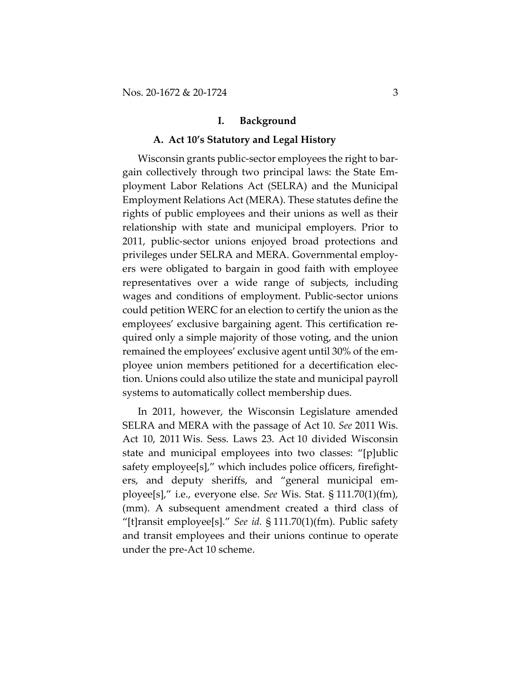#### **I. Background**

## **A. Act 10's Statutory and Legal History**

Wisconsin grants public-sector employees the right to bargain collectively through two principal laws: the State Employment Labor Relations Act (SELRA) and the Municipal Employment Relations Act (MERA). These statutes define the rights of public employees and their unions as well as their relationship with state and municipal employers. Prior to 2011, public-sector unions enjoyed broad protections and privileges under SELRA and MERA. Governmental employers were obligated to bargain in good faith with employee representatives over a wide range of subjects, including wages and conditions of employment. Public-sector unions could petition WERC for an election to certify the union as the employees' exclusive bargaining agent. This certification required only a simple majority of those voting, and the union remained the employees' exclusive agent until 30% of the employee union members petitioned for a decertification election. Unions could also utilize the state and municipal payroll systems to automatically collect membership dues.

In 2011, however, the Wisconsin Legislature amended SELRA and MERA with the passage of Act 10. *See* 2011 Wis. Act 10, 2011 Wis. Sess. Laws 23. Act 10 divided Wisconsin state and municipal employees into two classes: "[p]ublic safety employee[s]," which includes police officers, firefighters, and deputy sheriffs, and "general municipal employee[s]," i.e., everyone else. *See* Wis. Stat. § 111.70(1)(fm), (mm). A subsequent amendment created a third class of "[t]ransit employee[s]." *See id.* § 111.70(1)(fm). Public safety and transit employees and their unions continue to operate under the pre-Act 10 scheme.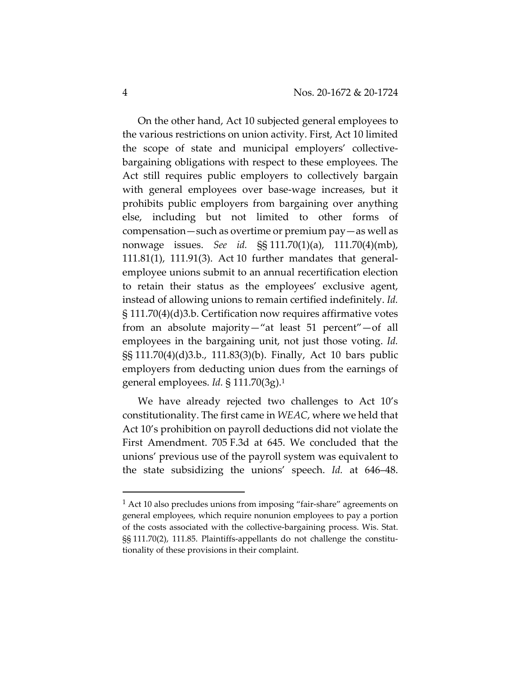On the other hand, Act 10 subjected general employees to the various restrictions on union activity. First, Act 10 limited the scope of state and municipal employers' collectivebargaining obligations with respect to these employees. The Act still requires public employers to collectively bargain with general employees over base-wage increases, but it prohibits public employers from bargaining over anything else, including but not limited to other forms of compensation—such as overtime or premium pay—as well as nonwage issues. *See id.* §§ 111.70(1)(a), 111.70(4)(mb), 111.81(1), 111.91(3). Act 10 further mandates that generalemployee unions submit to an annual recertification election to retain their status as the employees' exclusive agent, instead of allowing unions to remain certified indefinitely. *Id.* § 111.70(4)(d)3.b. Certification now requires affirmative votes from an absolute majority—"at least 51 percent"—of all employees in the bargaining unit, not just those voting. *Id.* §§ 111.70(4)(d)3.b., 111.83(3)(b). Finally, Act 10 bars public employers from deducting union dues from the earnings of general employees. *Id.* § 111.70(3g).1

We have already rejected two challenges to Act 10's constitutionality. The first came in *WEAC*, where we held that Act 10's prohibition on payroll deductions did not violate the First Amendment. 705 F.3d at 645. We concluded that the unions' previous use of the payroll system was equivalent to the state subsidizing the unions' speech. *Id.* at 646–48.

<sup>1</sup> Act 10 also precludes unions from imposing "fair-share" agreements on general employees, which require nonunion employees to pay a portion of the costs associated with the collective-bargaining process. Wis. Stat. §§ 111.70(2), 111.85. Plaintiffs-appellants do not challenge the constitutionality of these provisions in their complaint.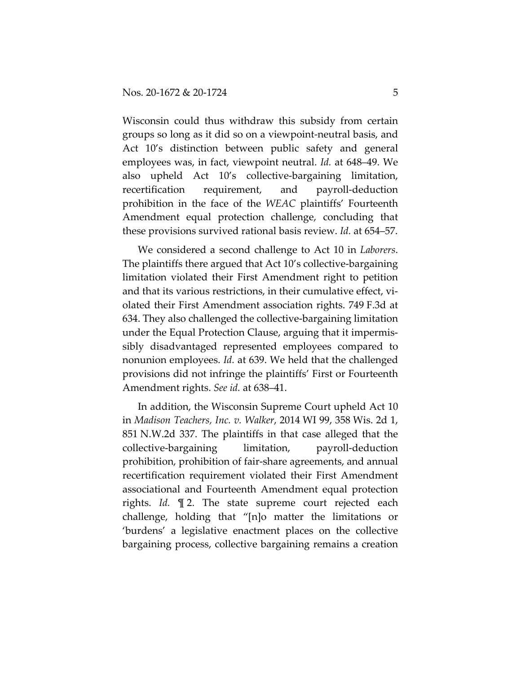Wisconsin could thus withdraw this subsidy from certain groups so long as it did so on a viewpoint-neutral basis, and Act 10's distinction between public safety and general employees was, in fact, viewpoint neutral. *Id.* at 648–49. We also upheld Act 10's collective-bargaining limitation, recertification requirement, and payroll-deduction prohibition in the face of the *WEAC* plaintiffs' Fourteenth Amendment equal protection challenge, concluding that these provisions survived rational basis review. *Id.* at 654–57.

We considered a second challenge to Act 10 in *Laborers*. The plaintiffs there argued that Act 10's collective-bargaining limitation violated their First Amendment right to petition and that its various restrictions, in their cumulative effect, violated their First Amendment association rights. 749 F.3d at 634. They also challenged the collective-bargaining limitation under the Equal Protection Clause, arguing that it impermissibly disadvantaged represented employees compared to nonunion employees. *Id.* at 639. We held that the challenged provisions did not infringe the plaintiffs' First or Fourteenth Amendment rights. *See id.* at 638–41.

In addition, the Wisconsin Supreme Court upheld Act 10 in *Madison Teachers, Inc. v. Walker*, 2014 WI 99, 358 Wis. 2d 1, 851 N.W.2d 337. The plaintiffs in that case alleged that the collective-bargaining limitation, payroll-deduction prohibition, prohibition of fair-share agreements, and annual recertification requirement violated their First Amendment associational and Fourteenth Amendment equal protection rights. *Id.* ¶ 2. The state supreme court rejected each challenge, holding that "[n]o matter the limitations or 'burdens' a legislative enactment places on the collective bargaining process, collective bargaining remains a creation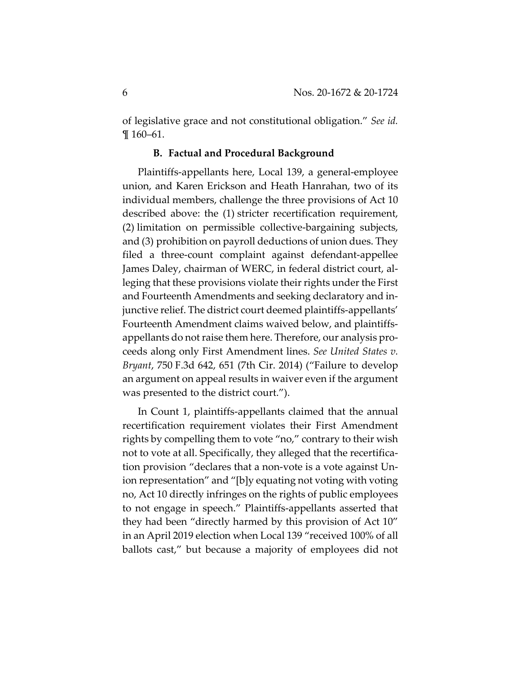of legislative grace and not constitutional obligation." *See id.* ¶ 160–61.

#### **B. Factual and Procedural Background**

Plaintiffs-appellants here, Local 139, a general-employee union, and Karen Erickson and Heath Hanrahan, two of its individual members, challenge the three provisions of Act 10 described above: the (1) stricter recertification requirement, (2) limitation on permissible collective-bargaining subjects, and (3) prohibition on payroll deductions of union dues. They filed a three-count complaint against defendant-appellee James Daley, chairman of WERC, in federal district court, alleging that these provisions violate their rights under the First and Fourteenth Amendments and seeking declaratory and injunctive relief. The district court deemed plaintiffs-appellants' Fourteenth Amendment claims waived below, and plaintiffsappellants do not raise them here. Therefore, our analysis proceeds along only First Amendment lines. *See United States v. Bryant*, 750 F.3d 642, 651 (7th Cir. 2014) ("Failure to develop an argument on appeal results in waiver even if the argument was presented to the district court.").

In Count 1, plaintiffs-appellants claimed that the annual recertification requirement violates their First Amendment rights by compelling them to vote "no," contrary to their wish not to vote at all. Specifically, they alleged that the recertification provision "declares that a non-vote is a vote against Union representation" and "[b]y equating not voting with voting no, Act 10 directly infringes on the rights of public employees to not engage in speech." Plaintiffs-appellants asserted that they had been "directly harmed by this provision of Act 10" in an April 2019 election when Local 139 "received 100% of all ballots cast," but because a majority of employees did not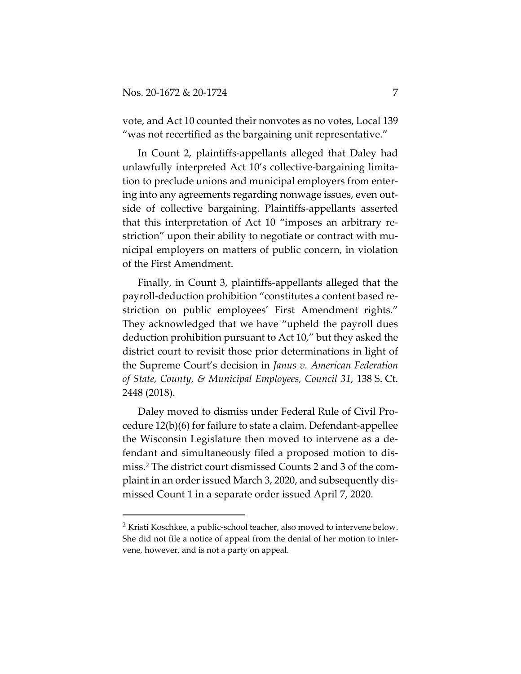vote, and Act 10 counted their nonvotes as no votes, Local 139 "was not recertified as the bargaining unit representative."

In Count 2, plaintiffs-appellants alleged that Daley had unlawfully interpreted Act 10's collective-bargaining limitation to preclude unions and municipal employers from entering into any agreements regarding nonwage issues, even outside of collective bargaining. Plaintiffs-appellants asserted that this interpretation of Act 10 "imposes an arbitrary restriction" upon their ability to negotiate or contract with municipal employers on matters of public concern, in violation of the First Amendment.

Finally, in Count 3, plaintiffs-appellants alleged that the payroll-deduction prohibition "constitutes a content based restriction on public employees' First Amendment rights." They acknowledged that we have "upheld the payroll dues deduction prohibition pursuant to Act 10," but they asked the district court to revisit those prior determinations in light of the Supreme Court's decision in *Janus v. American Federation of State, County, & Municipal Employees, Council 31*, 138 S. Ct. 2448 (2018).

Daley moved to dismiss under Federal Rule of Civil Procedure 12(b)(6) for failure to state a claim. Defendant-appellee the Wisconsin Legislature then moved to intervene as a defendant and simultaneously filed a proposed motion to dismiss.2 The district court dismissed Counts 2 and 3 of the complaint in an order issued March 3, 2020, and subsequently dismissed Count 1 in a separate order issued April 7, 2020.

<sup>2</sup> Kristi Koschkee, a public-school teacher, also moved to intervene below. She did not file a notice of appeal from the denial of her motion to intervene, however, and is not a party on appeal.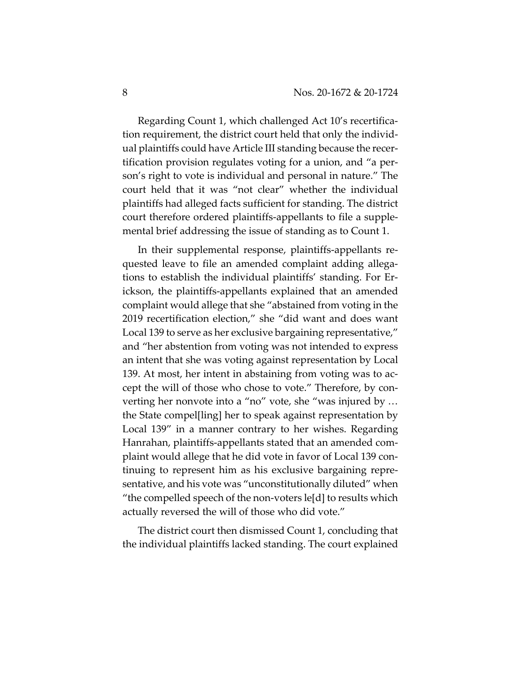Regarding Count 1, which challenged Act 10's recertification requirement, the district court held that only the individual plaintiffs could have Article III standing because the recertification provision regulates voting for a union, and "a person's right to vote is individual and personal in nature." The court held that it was "not clear" whether the individual plaintiffs had alleged facts sufficient for standing. The district court therefore ordered plaintiffs-appellants to file a supplemental brief addressing the issue of standing as to Count 1.

In their supplemental response, plaintiffs-appellants requested leave to file an amended complaint adding allegations to establish the individual plaintiffs' standing. For Erickson, the plaintiffs-appellants explained that an amended complaint would allege that she "abstained from voting in the 2019 recertification election," she "did want and does want Local 139 to serve as her exclusive bargaining representative," and "her abstention from voting was not intended to express an intent that she was voting against representation by Local 139. At most, her intent in abstaining from voting was to accept the will of those who chose to vote." Therefore, by converting her nonvote into a "no" vote, she "was injured by … the State compel[ling] her to speak against representation by Local 139" in a manner contrary to her wishes. Regarding Hanrahan, plaintiffs-appellants stated that an amended complaint would allege that he did vote in favor of Local 139 continuing to represent him as his exclusive bargaining representative, and his vote was "unconstitutionally diluted" when "the compelled speech of the non-voters le[d] to results which actually reversed the will of those who did vote."

The district court then dismissed Count 1, concluding that the individual plaintiffs lacked standing. The court explained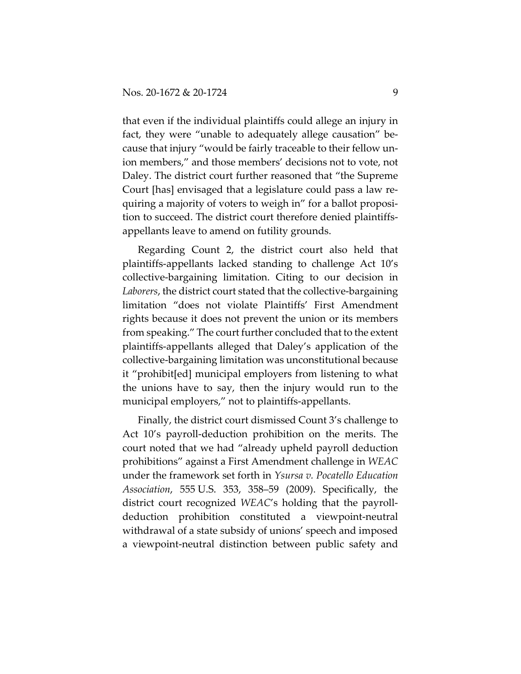that even if the individual plaintiffs could allege an injury in fact, they were "unable to adequately allege causation" because that injury "would be fairly traceable to their fellow union members," and those members' decisions not to vote, not Daley. The district court further reasoned that "the Supreme Court [has] envisaged that a legislature could pass a law requiring a majority of voters to weigh in" for a ballot proposition to succeed. The district court therefore denied plaintiffsappellants leave to amend on futility grounds.

Regarding Count 2, the district court also held that plaintiffs-appellants lacked standing to challenge Act 10's collective-bargaining limitation. Citing to our decision in *Laborers*, the district court stated that the collective-bargaining limitation "does not violate Plaintiffs' First Amendment rights because it does not prevent the union or its members from speaking." The court further concluded that to the extent plaintiffs-appellants alleged that Daley's application of the collective-bargaining limitation was unconstitutional because it "prohibit[ed] municipal employers from listening to what the unions have to say, then the injury would run to the municipal employers," not to plaintiffs-appellants.

Finally, the district court dismissed Count 3's challenge to Act 10's payroll-deduction prohibition on the merits. The court noted that we had "already upheld payroll deduction prohibitions" against a First Amendment challenge in *WEAC* under the framework set forth in *Ysursa v. Pocatello Education Association*, 555 U.S. 353, 358–59 (2009). Specifically, the district court recognized *WEAC*'s holding that the payrolldeduction prohibition constituted a viewpoint-neutral withdrawal of a state subsidy of unions' speech and imposed a viewpoint-neutral distinction between public safety and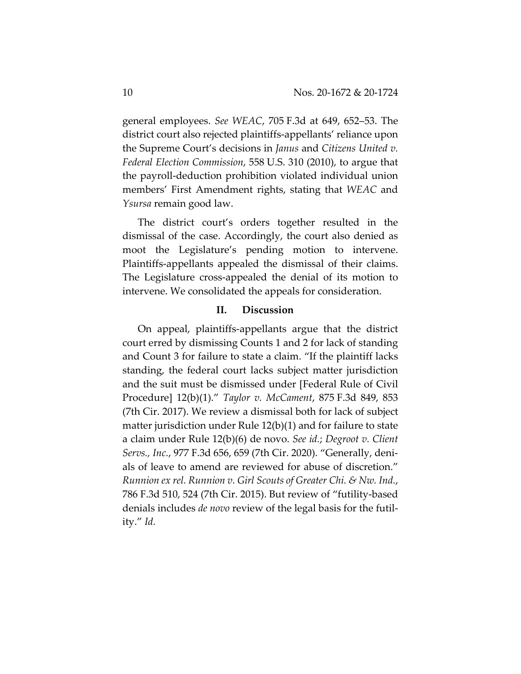general employees. *See WEAC*, 705 F.3d at 649, 652–53. The district court also rejected plaintiffs-appellants' reliance upon the Supreme Court's decisions in *Janus* and *Citizens United v. Federal Election Commission*, 558 U.S. 310 (2010), to argue that the payroll-deduction prohibition violated individual union members' First Amendment rights, stating that *WEAC* and *Ysursa* remain good law.

The district court's orders together resulted in the dismissal of the case. Accordingly, the court also denied as moot the Legislature's pending motion to intervene. Plaintiffs-appellants appealed the dismissal of their claims. The Legislature cross-appealed the denial of its motion to intervene. We consolidated the appeals for consideration.

## **II. Discussion**

On appeal, plaintiffs-appellants argue that the district court erred by dismissing Counts 1 and 2 for lack of standing and Count 3 for failure to state a claim. "If the plaintiff lacks standing, the federal court lacks subject matter jurisdiction and the suit must be dismissed under [Federal Rule of Civil Procedure] 12(b)(1)." *Taylor v. McCament*, 875 F.3d 849, 853 (7th Cir. 2017). We review a dismissal both for lack of subject matter jurisdiction under Rule 12(b)(1) and for failure to state a claim under Rule 12(b)(6) de novo. *See id.*; *Degroot v. Client Servs., Inc.*, 977 F.3d 656, 659 (7th Cir. 2020). "Generally, denials of leave to amend are reviewed for abuse of discretion." *Runnion ex rel. Runnion v. Girl Scouts of Greater Chi. & Nw. Ind.*, 786 F.3d 510, 524 (7th Cir. 2015). But review of "futility-based denials includes *de novo* review of the legal basis for the futility." *Id.*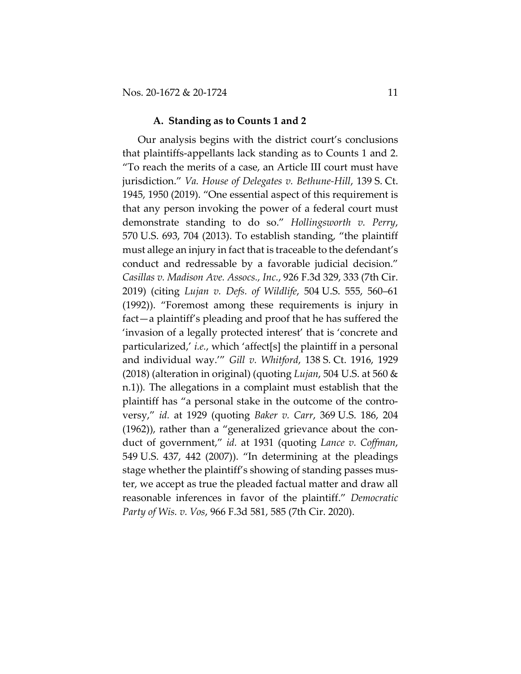#### **A. Standing as to Counts 1 and 2**

Our analysis begins with the district court's conclusions that plaintiffs-appellants lack standing as to Counts 1 and 2. "To reach the merits of a case, an Article III court must have jurisdiction." *Va. House of Delegates v. Bethune-Hill*, 139 S. Ct. 1945, 1950 (2019). "One essential aspect of this requirement is that any person invoking the power of a federal court must demonstrate standing to do so." *Hollingsworth v. Perry*, 570 U.S. 693, 704 (2013). To establish standing, "the plaintiff must allege an injury in fact that is traceable to the defendant's conduct and redressable by a favorable judicial decision." *Casillas v. Madison Ave. Assocs., Inc.*, 926 F.3d 329, 333 (7th Cir. 2019) (citing *Lujan v. Defs. of Wildlife*, 504 U.S. 555, 560–61 (1992)). "Foremost among these requirements is injury in fact—a plaintiff's pleading and proof that he has suffered the 'invasion of a legally protected interest' that is 'concrete and particularized,' *i.e.*, which 'affect[s] the plaintiff in a personal and individual way.'" *Gill v. Whitford*, 138 S. Ct. 1916, 1929 (2018) (alteration in original) (quoting *Lujan*, 504 U.S. at 560 & n.1))*.* The allegations in a complaint must establish that the plaintiff has "a personal stake in the outcome of the controversy," *id.* at 1929 (quoting *Baker v. Carr*, 369 U.S. 186, 204 (1962)), rather than a "generalized grievance about the conduct of government," *id.* at 1931 (quoting *Lance v. Coffman*, 549 U.S. 437, 442 (2007)). "In determining at the pleadings stage whether the plaintiff's showing of standing passes muster, we accept as true the pleaded factual matter and draw all reasonable inferences in favor of the plaintiff." *Democratic Party of Wis. v. Vos*, 966 F.3d 581, 585 (7th Cir. 2020).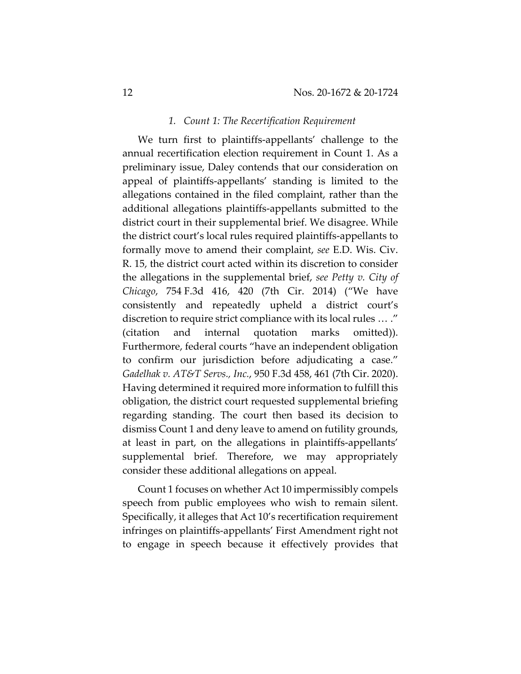#### *1. Count 1: The Recertification Requirement*

We turn first to plaintiffs-appellants' challenge to the annual recertification election requirement in Count 1. As a preliminary issue, Daley contends that our consideration on appeal of plaintiffs-appellants' standing is limited to the allegations contained in the filed complaint, rather than the additional allegations plaintiffs-appellants submitted to the district court in their supplemental brief. We disagree. While the district court's local rules required plaintiffs-appellants to formally move to amend their complaint, *see* E.D. Wis. Civ. R. 15, the district court acted within its discretion to consider the allegations in the supplemental brief, *see Petty v. City of Chicago*, 754 F.3d 416, 420 (7th Cir. 2014) ("We have consistently and repeatedly upheld a district court's discretion to require strict compliance with its local rules … ." (citation and internal quotation marks omitted)). Furthermore, federal courts "have an independent obligation to confirm our jurisdiction before adjudicating a case." *Gadelhak v. AT&T Servs., Inc.*, 950 F.3d 458, 461 (7th Cir. 2020). Having determined it required more information to fulfill this obligation, the district court requested supplemental briefing regarding standing. The court then based its decision to dismiss Count 1 and deny leave to amend on futility grounds, at least in part, on the allegations in plaintiffs-appellants' supplemental brief. Therefore, we may appropriately consider these additional allegations on appeal.

Count 1 focuses on whether Act 10 impermissibly compels speech from public employees who wish to remain silent. Specifically, it alleges that Act 10's recertification requirement infringes on plaintiffs-appellants' First Amendment right not to engage in speech because it effectively provides that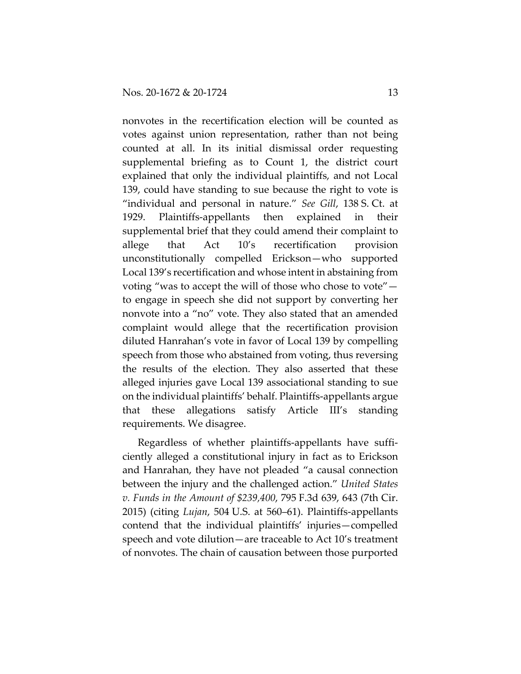nonvotes in the recertification election will be counted as votes against union representation, rather than not being counted at all. In its initial dismissal order requesting supplemental briefing as to Count 1, the district court explained that only the individual plaintiffs, and not Local 139, could have standing to sue because the right to vote is "individual and personal in nature." *See Gill*, 138 S. Ct. at 1929. Plaintiffs-appellants then explained in their supplemental brief that they could amend their complaint to allege that Act 10's recertification provision unconstitutionally compelled Erickson—who supported Local 139's recertification and whose intent in abstaining from voting "was to accept the will of those who chose to vote" to engage in speech she did not support by converting her nonvote into a "no" vote. They also stated that an amended complaint would allege that the recertification provision diluted Hanrahan's vote in favor of Local 139 by compelling speech from those who abstained from voting, thus reversing the results of the election. They also asserted that these alleged injuries gave Local 139 associational standing to sue on the individual plaintiffs' behalf. Plaintiffs-appellants argue that these allegations satisfy Article III's standing requirements. We disagree.

Regardless of whether plaintiffs-appellants have sufficiently alleged a constitutional injury in fact as to Erickson and Hanrahan, they have not pleaded "a causal connection between the injury and the challenged action." *United States v. Funds in the Amount of \$239,400*, 795 F.3d 639, 643 (7th Cir. 2015) (citing *Lujan*, 504 U.S. at 560–61). Plaintiffs-appellants contend that the individual plaintiffs' injuries—compelled speech and vote dilution—are traceable to Act 10's treatment of nonvotes. The chain of causation between those purported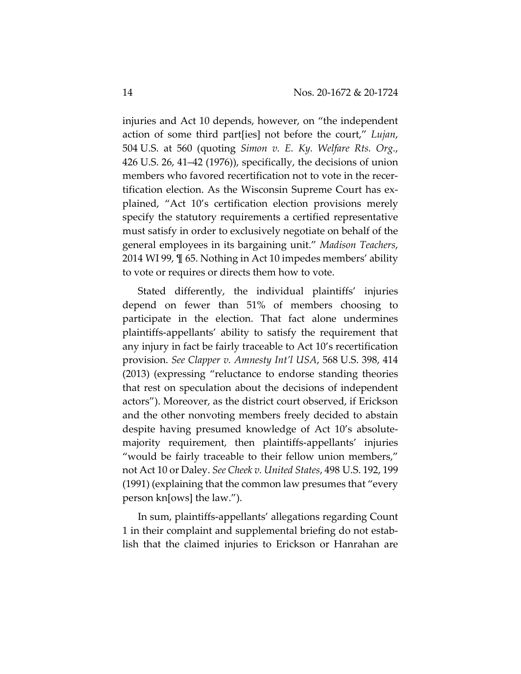injuries and Act 10 depends, however, on "the independent action of some third part[ies] not before the court," *Lujan*, 504 U.S. at 560 (quoting *Simon v. E. Ky. Welfare Rts. Org.*, 426 U.S. 26, 41–42 (1976)), specifically, the decisions of union members who favored recertification not to vote in the recertification election. As the Wisconsin Supreme Court has explained, "Act 10's certification election provisions merely specify the statutory requirements a certified representative must satisfy in order to exclusively negotiate on behalf of the general employees in its bargaining unit." *Madison Teachers*, 2014 WI 99, ¶ 65. Nothing in Act 10 impedes members' ability to vote or requires or directs them how to vote.

Stated differently, the individual plaintiffs' injuries depend on fewer than 51% of members choosing to participate in the election. That fact alone undermines plaintiffs-appellants' ability to satisfy the requirement that any injury in fact be fairly traceable to Act 10's recertification provision. *See Clapper v. Amnesty Int'l USA*, 568 U.S. 398, 414 (2013) (expressing "reluctance to endorse standing theories that rest on speculation about the decisions of independent actors"). Moreover, as the district court observed, if Erickson and the other nonvoting members freely decided to abstain despite having presumed knowledge of Act 10's absolutemajority requirement, then plaintiffs-appellants' injuries "would be fairly traceable to their fellow union members," not Act 10 or Daley. *See Cheek v. United States*, 498 U.S. 192, 199 (1991) (explaining that the common law presumes that "every person kn[ows] the law.").

In sum, plaintiffs-appellants' allegations regarding Count 1 in their complaint and supplemental briefing do not establish that the claimed injuries to Erickson or Hanrahan are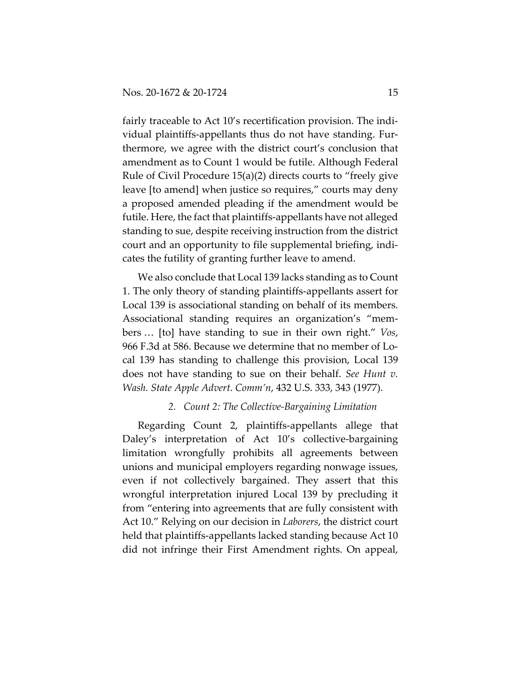fairly traceable to Act 10's recertification provision. The individual plaintiffs-appellants thus do not have standing. Furthermore, we agree with the district court's conclusion that amendment as to Count 1 would be futile. Although Federal Rule of Civil Procedure 15(a)(2) directs courts to "freely give leave [to amend] when justice so requires," courts may deny a proposed amended pleading if the amendment would be futile. Here, the fact that plaintiffs-appellants have not alleged standing to sue, despite receiving instruction from the district court and an opportunity to file supplemental briefing, indicates the futility of granting further leave to amend.

We also conclude that Local 139 lacks standing as to Count 1. The only theory of standing plaintiffs-appellants assert for Local 139 is associational standing on behalf of its members. Associational standing requires an organization's "members … [to] have standing to sue in their own right." *Vos*, 966 F.3d at 586. Because we determine that no member of Local 139 has standing to challenge this provision, Local 139 does not have standing to sue on their behalf. *See Hunt v. Wash. State Apple Advert. Comm'n*, 432 U.S. 333, 343 (1977).

## *2. Count 2: The Collective-Bargaining Limitation*

Regarding Count 2, plaintiffs-appellants allege that Daley's interpretation of Act 10's collective-bargaining limitation wrongfully prohibits all agreements between unions and municipal employers regarding nonwage issues, even if not collectively bargained. They assert that this wrongful interpretation injured Local 139 by precluding it from "entering into agreements that are fully consistent with Act 10." Relying on our decision in *Laborers*, the district court held that plaintiffs-appellants lacked standing because Act 10 did not infringe their First Amendment rights. On appeal,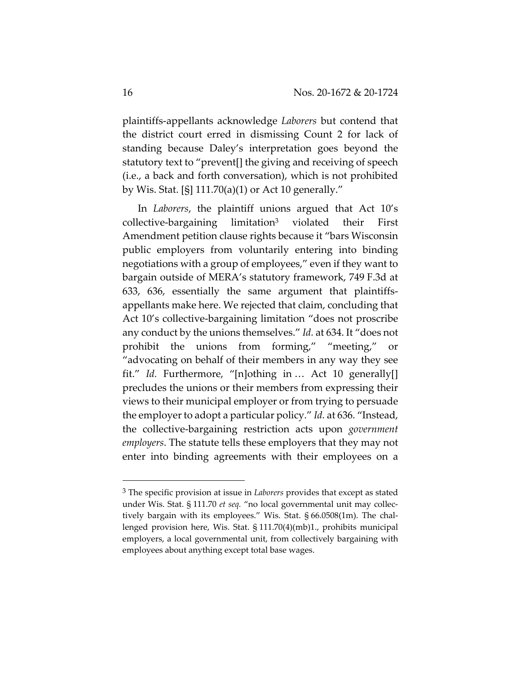plaintiffs-appellants acknowledge *Laborers* but contend that the district court erred in dismissing Count 2 for lack of standing because Daley's interpretation goes beyond the statutory text to "prevent[] the giving and receiving of speech (i.e., a back and forth conversation), which is not prohibited by Wis. Stat. [§] 111.70(a)(1) or Act 10 generally."

In *Laborers*, the plaintiff unions argued that Act 10's collective-bargaining limitation3 violated their First Amendment petition clause rights because it "bars Wisconsin public employers from voluntarily entering into binding negotiations with a group of employees," even if they want to bargain outside of MERA's statutory framework, 749 F.3d at 633, 636, essentially the same argument that plaintiffsappellants make here. We rejected that claim, concluding that Act 10's collective-bargaining limitation "does not proscribe any conduct by the unions themselves." *Id.* at 634. It "does not prohibit the unions from forming," "meeting," or "advocating on behalf of their members in any way they see fit." *Id.* Furthermore, "[n]othing in … Act 10 generally[] precludes the unions or their members from expressing their views to their municipal employer or from trying to persuade the employer to adopt a particular policy." *Id.* at 636. "Instead, the collective-bargaining restriction acts upon *government employers*. The statute tells these employers that they may not enter into binding agreements with their employees on a

<sup>3</sup> The specific provision at issue in *Laborers* provides that except as stated under Wis. Stat. § 111.70 *et seq.* "no local governmental unit may collectively bargain with its employees." Wis. Stat. § 66.0508(1m). The challenged provision here, Wis. Stat. § 111.70(4)(mb)1., prohibits municipal employers, a local governmental unit, from collectively bargaining with employees about anything except total base wages.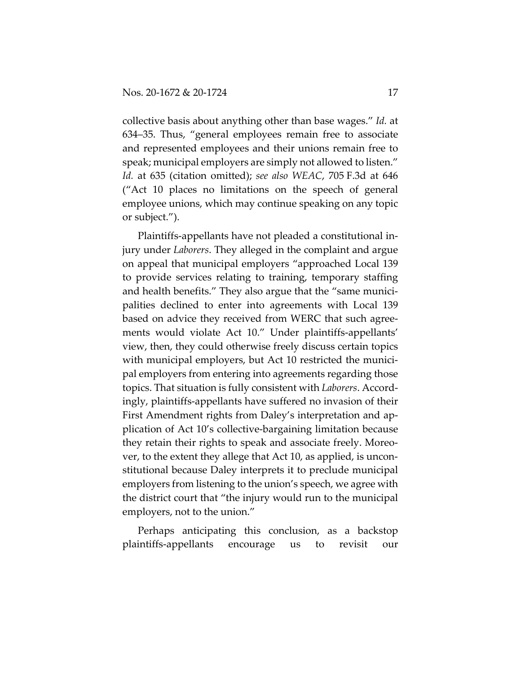collective basis about anything other than base wages." *Id.* at 634–35. Thus, "general employees remain free to associate and represented employees and their unions remain free to speak; municipal employers are simply not allowed to listen." *Id.* at 635 (citation omitted); *see also WEAC*, 705 F.3d at 646 ("Act 10 places no limitations on the speech of general employee unions, which may continue speaking on any topic or subject.").

Plaintiffs-appellants have not pleaded a constitutional injury under *Laborers*. They alleged in the complaint and argue on appeal that municipal employers "approached Local 139 to provide services relating to training, temporary staffing and health benefits." They also argue that the "same municipalities declined to enter into agreements with Local 139 based on advice they received from WERC that such agreements would violate Act 10." Under plaintiffs-appellants' view, then, they could otherwise freely discuss certain topics with municipal employers, but Act 10 restricted the municipal employers from entering into agreements regarding those topics. That situation is fully consistent with *Laborers*. Accordingly, plaintiffs-appellants have suffered no invasion of their First Amendment rights from Daley's interpretation and application of Act 10's collective-bargaining limitation because they retain their rights to speak and associate freely. Moreover, to the extent they allege that Act 10, as applied, is unconstitutional because Daley interprets it to preclude municipal employers from listening to the union's speech, we agree with the district court that "the injury would run to the municipal employers, not to the union."

Perhaps anticipating this conclusion, as a backstop plaintiffs-appellants encourage us to revisit our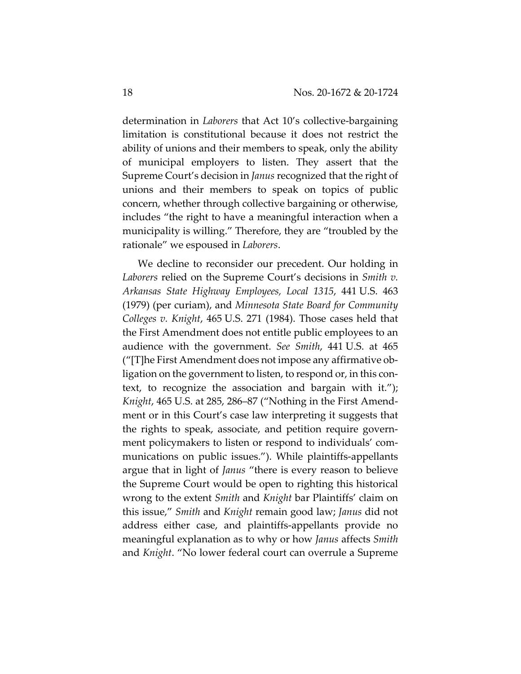determination in *Laborers* that Act 10's collective-bargaining limitation is constitutional because it does not restrict the ability of unions and their members to speak, only the ability of municipal employers to listen. They assert that the Supreme Court's decision in *Janus* recognized that the right of unions and their members to speak on topics of public concern, whether through collective bargaining or otherwise, includes "the right to have a meaningful interaction when a municipality is willing." Therefore, they are "troubled by the rationale" we espoused in *Laborers*.

We decline to reconsider our precedent. Our holding in *Laborers* relied on the Supreme Court's decisions in *Smith v. Arkansas State Highway Employees, Local 1315*, 441 U.S. 463 (1979) (per curiam), and *Minnesota State Board for Community Colleges v. Knight*, 465 U.S. 271 (1984). Those cases held that the First Amendment does not entitle public employees to an audience with the government. *See Smith*, 441 U.S. at 465 ("[T]he First Amendment does not impose any affirmative obligation on the government to listen, to respond or, in this context, to recognize the association and bargain with it."); *Knight*, 465 U.S. at 285, 286–87 ("Nothing in the First Amendment or in this Court's case law interpreting it suggests that the rights to speak, associate, and petition require government policymakers to listen or respond to individuals' communications on public issues."). While plaintiffs-appellants argue that in light of *Janus* "there is every reason to believe the Supreme Court would be open to righting this historical wrong to the extent *Smith* and *Knight* bar Plaintiffs' claim on this issue," *Smith* and *Knight* remain good law; *Janus* did not address either case, and plaintiffs-appellants provide no meaningful explanation as to why or how *Janus* affects *Smith* and *Knight*. "No lower federal court can overrule a Supreme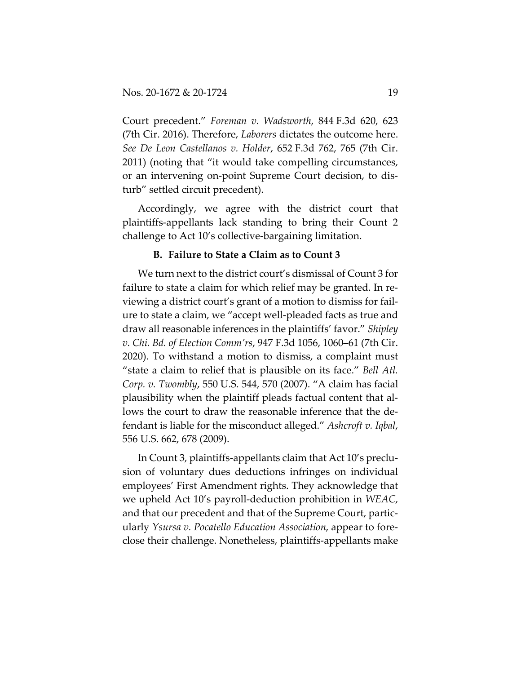Court precedent." *Foreman v. Wadsworth*, 844 F.3d 620, 623 (7th Cir. 2016). Therefore, *Laborers* dictates the outcome here. *See De Leon Castellanos v. Holder*, 652 F.3d 762, 765 (7th Cir. 2011) (noting that "it would take compelling circumstances, or an intervening on-point Supreme Court decision, to disturb" settled circuit precedent).

Accordingly, we agree with the district court that plaintiffs-appellants lack standing to bring their Count 2 challenge to Act 10's collective-bargaining limitation.

## **B. Failure to State a Claim as to Count 3**

We turn next to the district court's dismissal of Count 3 for failure to state a claim for which relief may be granted. In reviewing a district court's grant of a motion to dismiss for failure to state a claim, we "accept well-pleaded facts as true and draw all reasonable inferences in the plaintiffs' favor." *Shipley v. Chi. Bd. of Election Comm'rs*, 947 F.3d 1056, 1060–61 (7th Cir. 2020). To withstand a motion to dismiss, a complaint must "state a claim to relief that is plausible on its face." *Bell Atl. Corp. v. Twombly*, 550 U.S. 544, 570 (2007). "A claim has facial plausibility when the plaintiff pleads factual content that allows the court to draw the reasonable inference that the defendant is liable for the misconduct alleged." *Ashcroft v. Iqbal*, 556 U.S. 662, 678 (2009).

In Count 3, plaintiffs-appellants claim that Act 10's preclusion of voluntary dues deductions infringes on individual employees' First Amendment rights. They acknowledge that we upheld Act 10's payroll-deduction prohibition in *WEAC*, and that our precedent and that of the Supreme Court, particularly *Ysursa v. Pocatello Education Association*, appear to foreclose their challenge. Nonetheless, plaintiffs-appellants make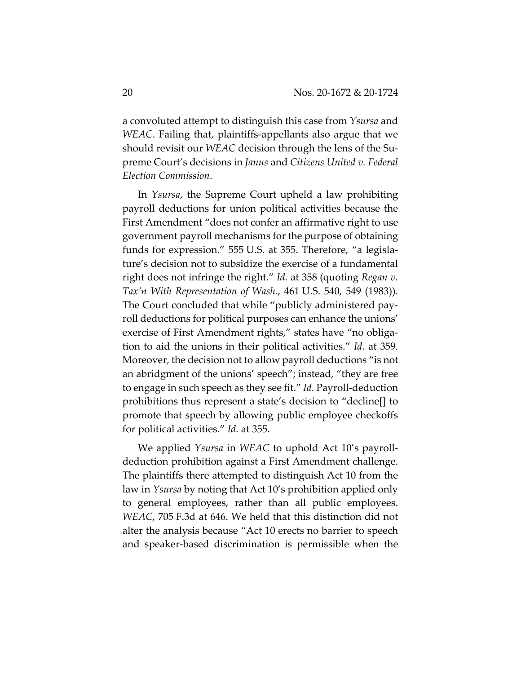a convoluted attempt to distinguish this case from *Ysursa* and *WEAC*. Failing that, plaintiffs-appellants also argue that we should revisit our *WEAC* decision through the lens of the Supreme Court's decisions in *Janus* and *Citizens United v. Federal Election Commission*.

In *Ysursa*, the Supreme Court upheld a law prohibiting payroll deductions for union political activities because the First Amendment "does not confer an affirmative right to use government payroll mechanisms for the purpose of obtaining funds for expression." 555 U.S. at 355. Therefore, "a legislature's decision not to subsidize the exercise of a fundamental right does not infringe the right." *Id.* at 358 (quoting *Regan v. Tax'n With Representation of Wash.*, 461 U.S. 540, 549 (1983)). The Court concluded that while "publicly administered payroll deductions for political purposes can enhance the unions' exercise of First Amendment rights," states have "no obligation to aid the unions in their political activities." *Id.* at 359. Moreover, the decision not to allow payroll deductions "is not an abridgment of the unions' speech"; instead, "they are free to engage in such speech as they see fit." *Id.* Payroll-deduction prohibitions thus represent a state's decision to "decline[] to promote that speech by allowing public employee checkoffs for political activities." *Id.* at 355.

We applied *Ysursa* in *WEAC* to uphold Act 10's payrolldeduction prohibition against a First Amendment challenge. The plaintiffs there attempted to distinguish Act 10 from the law in *Ysursa* by noting that Act 10's prohibition applied only to general employees, rather than all public employees. *WEAC*, 705 F.3d at 646. We held that this distinction did not alter the analysis because "Act 10 erects no barrier to speech and speaker-based discrimination is permissible when the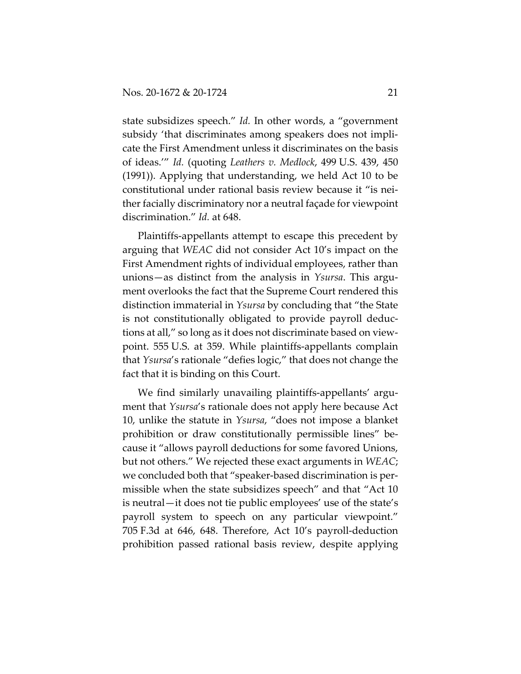state subsidizes speech." *Id.* In other words, a "government subsidy 'that discriminates among speakers does not implicate the First Amendment unless it discriminates on the basis of ideas.'" *Id.* (quoting *Leathers v. Medlock*, 499 U.S. 439, 450 (1991)). Applying that understanding, we held Act 10 to be constitutional under rational basis review because it "is neither facially discriminatory nor a neutral façade for viewpoint discrimination." *Id.* at 648.

Plaintiffs-appellants attempt to escape this precedent by arguing that *WEAC* did not consider Act 10's impact on the First Amendment rights of individual employees, rather than unions—as distinct from the analysis in *Ysursa*. This argument overlooks the fact that the Supreme Court rendered this distinction immaterial in *Ysursa* by concluding that "the State is not constitutionally obligated to provide payroll deductions at all," so long as it does not discriminate based on viewpoint. 555 U.S. at 359. While plaintiffs-appellants complain that *Ysursa*'s rationale "defies logic," that does not change the fact that it is binding on this Court.

We find similarly unavailing plaintiffs-appellants' argument that *Ysursa*'s rationale does not apply here because Act 10, unlike the statute in *Ysursa*, "does not impose a blanket prohibition or draw constitutionally permissible lines" because it "allows payroll deductions for some favored Unions, but not others." We rejected these exact arguments in *WEAC*; we concluded both that "speaker-based discrimination is permissible when the state subsidizes speech" and that "Act 10 is neutral—it does not tie public employees' use of the state's payroll system to speech on any particular viewpoint." 705 F.3d at 646, 648. Therefore, Act 10's payroll-deduction prohibition passed rational basis review, despite applying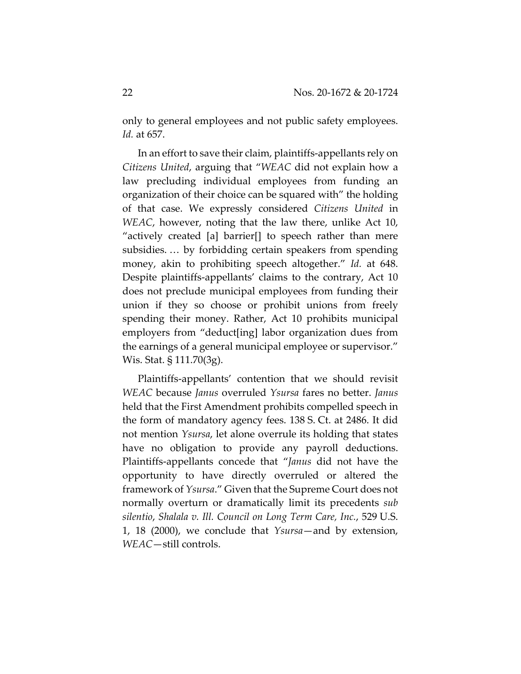only to general employees and not public safety employees. *Id.* at 657.

In an effort to save their claim, plaintiffs-appellants rely on *Citizens United*, arguing that "*WEAC* did not explain how a law precluding individual employees from funding an organization of their choice can be squared with" the holding of that case. We expressly considered *Citizens United* in *WEAC*, however, noting that the law there, unlike Act 10, "actively created [a] barrier[] to speech rather than mere subsidies. … by forbidding certain speakers from spending money, akin to prohibiting speech altogether." *Id.* at 648. Despite plaintiffs-appellants' claims to the contrary, Act 10 does not preclude municipal employees from funding their union if they so choose or prohibit unions from freely spending their money. Rather, Act 10 prohibits municipal employers from "deduct[ing] labor organization dues from the earnings of a general municipal employee or supervisor." Wis. Stat. § 111.70(3g).

Plaintiffs-appellants' contention that we should revisit *WEAC* because *Janus* overruled *Ysursa* fares no better. *Janus* held that the First Amendment prohibits compelled speech in the form of mandatory agency fees. 138 S. Ct. at 2486. It did not mention *Ysursa*, let alone overrule its holding that states have no obligation to provide any payroll deductions. Plaintiffs-appellants concede that "*Janus* did not have the opportunity to have directly overruled or altered the framework of *Ysursa*." Given that the Supreme Court does not normally overturn or dramatically limit its precedents *sub silentio*, *Shalala v. Ill. Council on Long Term Care, Inc.*, 529 U.S. 1, 18 (2000), we conclude that *Ysursa*—and by extension, *WEAC*—still controls.